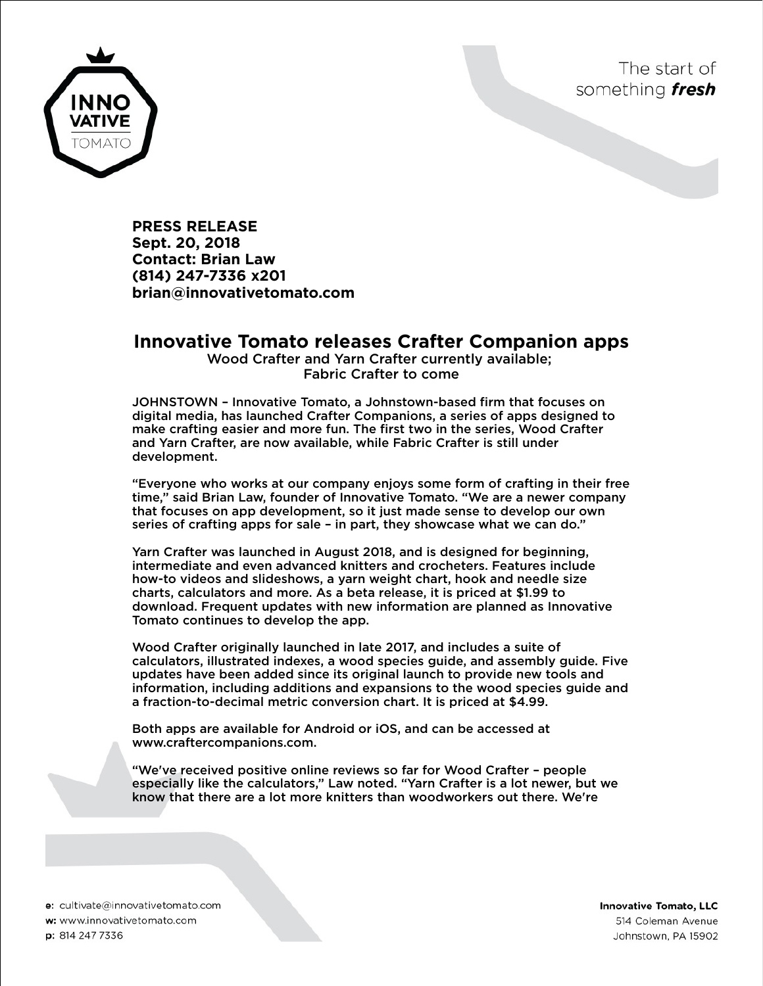



**PRESS RELEASE Sept. 20, 2018 Contact: Brian Law (814) 247-7336 x201 brian@innovativetomato.com**

## **Innovative Tomato releases Crafter Companion apps**

Wood Crafter and Yarn Crafter currently available; Fabric Crafter to come

JOHNSTOWN – Innovative Tomato, a Johnstown-based firm that focuses on digital media, has launched Crafter Companions, a series of apps designed to make crafting easier and more fun. The first two in the series, Wood Crafter and Yarn Crafter, are now available, while Fabric Crafter is still under development.

"Everyone who works at our company enjoys some form of crafting in their free time," said Brian Law, founder of Innovative Tomato. "We are a newer company that focuses on app development, so it just made sense to develop our own series of crafting apps for sale – in part, they showcase what we can do."

Yarn Crafter was launched in August 2018, and is designed for beginning, intermediate and even advanced knitters and crocheters. Features include how-to videos and slideshows, a yarn weight chart, hook and needle size charts, calculators and more. As a beta release, it is priced at \$1.99 to download. Frequent updates with new information are planned as Innovative Tomato continues to develop the app.

Wood Crafter originally launched in late 2017, and includes a suite of calculators, illustrated indexes, a wood species guide, and assembly guide. Five updates have been added since its original launch to provide new tools and information, including additions and expansions to the wood species guide and a fraction-to-decimal metric conversion chart. It is priced at \$4.99.

Both apps are available for Android or iOS, and can be accessed at www.craftercompanions.com.

"We've received positive online reviews so far for Wood Crafter – people especially like the calculators," Law noted. "Yarn Crafter is a lot newer, but we know that there are a lot more knitters than woodworkers out there. We're

e: cultivate@innovativetomato.com w: www.innovativetomato.com p: 814 247 7336

**Innovative Tomato, LLC** 514 Coleman Avenue Johnstown, PA 15902